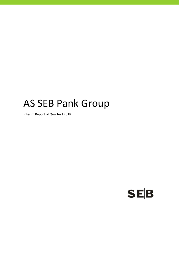# AS SEB Pank Group

Interim Report of Quarter I 2018

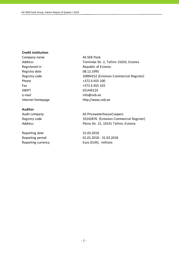#### **Credit institution**

Company name AS SEB Pank Registered in Republic of Estonia Registry date 08.12.1995 Phone  $+372\ 6\ 655\ 100$ Fax  $+3726655102$ SWIFT EEUHEE2X e-mail info@seb.ee

#### **Auditor**

Reporting date 31.03.2018

Address Tornimäe Str. 2, Tallinn 15010, Estonia Registry code 10004252 (Estonian Commercial Register) Internet homepage http://www.seb.ee

Audit company and all the AS PricewaterhouseCoopers Registry code 10142876 (Estonian Commercial Register) Address **Pärnu Str. 15, 10141 Tallinn, Estonia** 

Reporting period 01.01.2018 - 31.03.2018 Reporting currency Euro (EUR), millions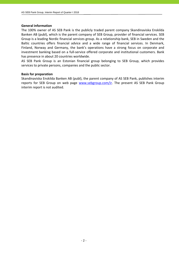#### **General information**

The 100% owner of AS SEB Pank is the publicly traded parent company Skandinaviska Enskilda Banken AB (publ), which is the parent company of SEB Group, provider of financial services. SEB Group is a leading Nordic financial services group. As a relationship bank, SEB in Sweden and the Baltic countries offers financial advice and a wide range of financial services. In Denmark, Finland, Norway and Germany, the bank's operations have a strong focus on corporate and investment banking based on a full-service offered corporate and institutional customers. Bank has presence in about 20 countries worldwide.

AS SEB Pank Group is an Estonian financial group belonging to SEB Group, which provides services to private persons, companies and the public sector.

#### **Basis for preparation**

Skandinaviska Enskilda Banken AB (publ), the parent company of AS SEB Pank, publishes interim reports for SEB Group on web page www.sebgroup.com/ir. The present AS SEB Pank Group interim report is not audited.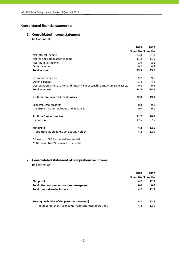# **Consolidated financial statements**

## **1. Consolidated income statement**

(millions of EUR)

|                                                                             | 2018              | 2017    |
|-----------------------------------------------------------------------------|-------------------|---------|
|                                                                             | 3 months 3 months |         |
| Net Interest Income                                                         | 23.3              | 21.1    |
| Net fee and commission income                                               | 11.4              | 11.5    |
| Net financial income                                                        | 1.0               | 2.1     |
| Other income                                                                | 0.2               | 0.5     |
| <b>Total income</b>                                                         | 35.9              | 35.2    |
|                                                                             |                   |         |
| Personnel expenses                                                          | $-9.7$            | $-9.6$  |
| Other expenses                                                              | $-3.4$            | $-4.9$  |
| Depreciation, amortisation and impairment of tangible and intangible assets | $-0.8$            | $-0.8$  |
| <b>Total expenses</b>                                                       | $-13.9$           | $-15.3$ |
|                                                                             |                   |         |
| Profit before expected credit losses                                        | 22.0              | 19.9    |
|                                                                             |                   |         |
| Expected credit losses*                                                     | $-0.3$            | 0.0     |
| Impairment losses on loans and advances**                                   | 0.0               | 0.1     |
|                                                                             |                   |         |
| Profit before income tax                                                    | 21.7              | 20.0    |
| Income tax                                                                  | $-17.5$           | $-7.5$  |
|                                                                             |                   |         |
| Net profit                                                                  | 4.2               | 12.5    |
| Profit attributable to the sole equity holder                               | 4.2               | 12.5    |
|                                                                             |                   |         |

\* Based on IFRS 9 expected loss model

\*\* Based on IAS 39 incurred loss model

# **2. Consolidated statement of comprehensive income**

(millions of EUR)

|                                                       | 2018 | 2017              |
|-------------------------------------------------------|------|-------------------|
|                                                       |      | 3 months 3 months |
| Net profit                                            | 4.2  | 12.5              |
| Total other comprehensive income/expense              | 0.0  | 0.0               |
| Total comprehensive income                            | 4.2  | 12.5              |
|                                                       |      |                   |
| Sole equity holder of the parent entity (total)       | 4.2  | 12.5              |
| -Total comprehensive income from continued operations | 4.2  | 12.5              |
|                                                       |      |                   |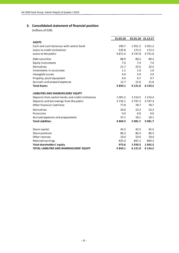# **3. Consolidated statement of financial position**

(millions of EUR)

|                                                     | 31.03.18  |            | 01.01.18 31.12.17 |
|-----------------------------------------------------|-----------|------------|-------------------|
| <b>ASSETS</b>                                       |           |            |                   |
| Cash and cash balances with central bank            | 290.7     | 1 0 5 1 .2 | 1 0 5 1 .2        |
| Loans to credit institutions                        | 535.8     | 172.3      | 172.3             |
| Loans to the public                                 | 4 871.4   | 4 747.8    | 4 7 5 1 .0        |
| Debt securities                                     | 88.9      | 89.2       | 89.2              |
| Equity instruments                                  | 7.4       | 7.4        | 7.4               |
| Derivatives                                         | 21.7      | 23.5       | 23.5              |
| Investments in associates                           | 1.1       | 1.0        | 1.0               |
| Intangible assets                                   | 4.0       | 3.9        | 3.9               |
| Property, plant equipment                           | 9.4       | 9.7        | 9.7               |
| Accruals and prepaid expenses                       | 12.7      | 15.0       | 15.0              |
| <b>Total Assets</b>                                 | 5843.1    | 6 1 2 1 .0 | 6 1 2 4 .2        |
| <b>LIABILITIES AND SHAREHOLDERS' EQUITY</b>         |           |            |                   |
| Deposits from central banks and credit institutions | 1 0 0 1.5 | 1 2 1 4 .5 | 1 2 1 4 .4        |
| Deposits and borrowings from the public             | 3732.1    | 3 747.2    | 3 747.3           |
| Other financial liabilities                         | 77.8      | 78.7       | 78.7              |
| Derivatives                                         | 20.6      | 23.2       | 23.2              |
| Provisions                                          | 0.4       | 0.0        | 0.0               |
| Accrued expenses and prepayments                    | 37.1      | 18.1       | 18.1              |
| <b>Total Liabilities</b>                            | 4869.5    | 5 0 8 1 .7 | 5 0 8 1 .7        |
| Share capital                                       | 42.5      | 42.5       | 42.5              |
| Share premium                                       | 86.3      | 86.3       | 86.3              |
| Other reserves                                      | 19.4      | 19.4       | 19.4              |
| Retained earnings                                   | 825.4     | 891.1      | 894.3             |
| Total shareholders' equity                          | 973.6     | 1039.3     | 1 042.5           |
| <b>TOTAL LIABILITIES AND SHAREHOLDERS' EQUITY</b>   | 5843.1    | 6 1 2 1 .0 | 6 1 2 4 .2        |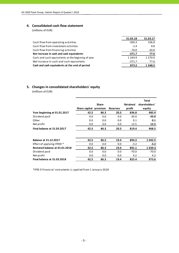# **4. Consolidated cash flow statement**

(millions of EUR)

|                                                   | 31.03.18   | 31.03.17   |
|---------------------------------------------------|------------|------------|
| Cash flow from operating activities               | $-300.3$   | 106.8      |
| Cash flow from investment activities              | $-1.4$     | 0.8        |
| Cash flow from financing activities               | $-70.0$    | $-30.0$    |
| Net increase in cash and cash equivalents         | $-371.7$   | 77.6       |
| Cash and cash equivalents at the beginnig of year | 1 2 4 4 .9 | 1 2 7 0.9  |
| Net increase in cash and cash equivalents         | $-371.7$   | 77.6       |
| Cash and cash equivalents at the end of period    | 873.2      | 1 3 4 8 .5 |

# **5. Changes in consolidated shareholders' equity**

(millions of EUR)

|                                    | Share capital premium | <b>Share</b> | <b>Reserves</b> | <b>Retained</b><br>profit | <b>Total</b><br>shareholders'<br>equity |
|------------------------------------|-----------------------|--------------|-----------------|---------------------------|-----------------------------------------|
| Year beginning at 01.01.2017       | 42.5                  | 86.3         | 20.3            | 836.8                     | 985.9                                   |
| Dividend paid                      | 0.0                   | 0.0          | 0.0             | $-30.0$                   | $-30.0$                                 |
| Other                              | 0.0                   | 0.0          | 0.0             | 0.1                       | 0.1                                     |
| Net profit                         | 0.0                   | 0.0          | 0.0             | 12.5                      | 12.5                                    |
| <b>Final balance at 31.03.2017</b> | 42.5                  | 86.3         | 20.3            | 819.4                     | 968.5                                   |
| <b>Balance at 31.12.2017</b>       | 42.5                  | 86.3         | 19.4            | 894.3                     | 1 042.5                                 |
| Effect of applying IFRS9 *         | 0.0                   | 0.0          | 0.0             | $-3.2$                    | $-3.2$                                  |
| Restated balance at 01.01.2018     | 42.5                  | 86.3         | 19.4            | 891.1                     | 1039.3                                  |
| Dividend paid                      | 0.0                   | 0.0          | 0.0             | $-70.0$                   | $-70.0$                                 |
| Net profit                         | 0.0                   | 0.0          | 0.0             | 4.2                       | 4.2                                     |
| Final balance at 31.03.2018        | 42.5                  | 86.3         | 19.4            | 825.4                     | 973.6                                   |

\*IFRS 9 Financial instruments is applied from 1 January 2018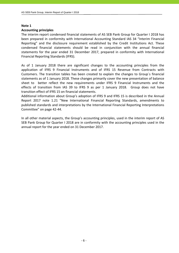#### **Note 1**

#### **Accounting principles**

The interim report condensed financial statements of AS SEB Pank Group for Quarter I 2018 has been prepared in conformity with International Accounting Standard IAS 34 "Interim Financial Reporting" and the disclosure requirement established by the Credit Institutions Act. These condensed financial statements should be read in conjunction with the annual financial statements for the year ended 31 December 2017, prepared in conformity with International Financial Reporting Standards (IFRS).

As of 1 January 2018 there are significant changes to the accounting principles from the application of IFRS 9 Financial Instruments and of IFRS 15 Revenue from Contracts with Customers. The transition tables has been created to explain the changes to Group`s financial statements as of 1 January 2018. These changes primarily cover the new presentation of balance sheet to better reflect the new requirements under IFRS 9 Financial Instruments and the effects of transition from IAS 39 to IFRS 9 as per 1 January 2018. Group does not have transition effect of IFRS 15 on financial statements.

Additional information about Group's adoption of IFRS 9 and IFRS 15 is described in the Annual Report 2017 note 1.21 "New International Financial Reporting Standards, amendments to published standards and interpretations by the International Financial Reporting Interpretations Committee" on page 42‐44.

In all other material aspects, the Group's accounting principles, used in the interim report of AS SEB Pank Group for Quarter I 2018 are in conformity with the accounting principles used in the annual report for the year ended on 31 December 2017.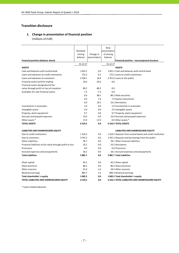# **Transition disclosure**

# **1. Change in presentation of financial position**

(millions of EUR)

|                                                            |            |              | New          |                                                           |
|------------------------------------------------------------|------------|--------------|--------------|-----------------------------------------------------------|
|                                                            | Restated   |              | presentation |                                                           |
|                                                            | closing    | Change in    | of closing   |                                                           |
|                                                            | balance    | presentation | balance      |                                                           |
| Financial position (balance sheet)                         |            |              |              | Financial position - new proposed structure               |
|                                                            | 31.12.17   |              | 31.12.17     |                                                           |
| <b>ASSETS</b>                                              |            |              |              | <b>ASSETS</b>                                             |
| Cash and balances with central bank                        | 1051.2     | 0.0          |              | 1051.2 Cash and balances with central bank                |
| Loans and advances to credit institutions                  | 172.2      | 0.1          |              | 172.3 Loans to credit institutions                        |
| Loans and advances to customers                            | 4734.1     | 16.9         |              | 4751.0 Loans to the public                                |
| Financial assets held for trading                          | 23.6       | $-23.6$      | 0.0          |                                                           |
| Financial assets designated at fair                        |            |              |              |                                                           |
| value through profit or loss at inception                  | 89.2       | $-89.2$      | 0.0          |                                                           |
| Available-for-sale financial assets                        | 7.3        | $-7.3$       | 0.0          |                                                           |
|                                                            | 0.0        | 89.2         |              | 89.2 Debt securities                                      |
|                                                            | 0.0        | 7.4          |              | 7.4 Equity instruments                                    |
|                                                            | 0.0        | 23.5         |              | 23.5 Derivatives                                          |
| Investments in associates                                  | 1.0        | 0.0          |              | 1.0 Investments in associates                             |
| Intangible assets                                          | 3.9        | 0.0          |              | 3.9 Intangible assets                                     |
| Property, plant equipment                                  | 9.7        | 0.0          |              | 9.7 Property, plant equipment                             |
| Accruals and prepaid expenses                              | 15.0       | 0.0          |              | 15.0 Accruals and prepaid expenses                        |
| Other assets *                                             | 17.0       | $-17.0$      |              | 0.0 Other assets *                                        |
| <b>TOTAL ASSETS</b>                                        | 6 124.2    | 0.0          |              | <b>6124.2 TOTAL ASSETS</b>                                |
| LIABILITIES AND SHAREHOLDERS EQUITY                        |            |              |              | LIABILITIES AND SHAREHOLDERS EQUITY                       |
| Due to credit institutions                                 | 1 2 1 4 .5 | 0.0          |              | 1214.5 Deposits from central banks and credit institution |
| Due to customers                                           | 3747.2     | 0.0          |              | 3747.2 Deposits and borrowings from the public            |
| <b>Other Liabilities</b>                                   | 78.7       | 0.0          |              | 78.7 Other financial liabilities                          |
| Financial liabilities at fair value through profit or loss | 23.2       | 0.0          |              | 23.2 Derivatives                                          |
| Provisions                                                 | 0.0        | 0.0          |              | 0.0 Provisions                                            |
| Accrued expenses and prepayments                           | 18.1       | 0.0          |              | 18.1 Accrued expenses and prepayments                     |
| <b>Total Liabilities</b>                                   | 5081.7     | 0.0          |              | 5081.7 Total Liabilities                                  |
|                                                            |            |              |              |                                                           |
| Share capital                                              | 42.5       | 0.0          |              | 42.5 Share capital                                        |
| Share premium                                              | 86.3       | 0.0          |              | 86.3 Share premium                                        |
| Other reserves                                             | 21.0       | $-1.6$       |              | 19.4 Other reserves                                       |
| Retained earnings                                          | 892.7      | 1.6          |              | 894.3 Retained earnings                                   |
| Total shareholder's equity                                 | 1042.5     | 0.0          |              | 1042.5 Total shareholder's equity                         |
| <b>TOTAL LIABILITIES AND SHAREHOLDERS EQUITY</b>           | 6 124.2    | 0.0          |              | <b>6 124.2 TOTAL LIABILITIES AND SHAREHOLDERS EQUITY</b>  |

\* Loans related advances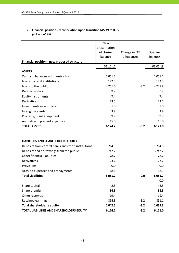# **2. Financial position ‐ reconciliation upon transition IAS 39 to IFRS 9** (millions of EUR)

|                                                     | <b>New</b>   |               |            |
|-----------------------------------------------------|--------------|---------------|------------|
|                                                     | presentation |               |            |
|                                                     | of closing   | Change in ECL | Opening    |
|                                                     | balance      | allowances    | balance    |
| Financial position - new proposed structure         |              |               |            |
|                                                     | 31.12.17     |               | 01.01.18   |
| <b>ASSETS</b>                                       |              |               |            |
| Cash and balances with central bank                 | 1051.2       |               | 1051.2     |
| Loans to credit institutions                        | 172.3        |               | 172.3      |
| Loans to the public                                 | 4751.0       | $-3.2$        | 4747.8     |
| Debt securities                                     | 89.2         |               | 89.2       |
| <b>Equity instruments</b>                           | 7.4          |               | 7.4        |
| Derivatives                                         | 23.5         |               | 23.5       |
| Investments in associates                           | 1.0          |               | 1.0        |
| Intangible assets                                   | 3.9          |               | 3.9        |
| Property, plant equipment                           | 9.7          |               | 9.7        |
| Accruals and prepaid expenses                       | 15.0         |               | 15.0       |
| <b>TOTAL ASSETS</b>                                 | 6 1 24.2     | $-3.2$        | 6 121.0    |
|                                                     |              |               |            |
| LIABILITIES AND SHAREHOLDERS EQUITY                 |              |               |            |
| Deposits from central banks and credit institutions | 1 2 1 4 .5   |               | 1 2 1 4 .5 |
| Deposits and borrowings from the public             | 3747.2       |               | 3747.2     |
| Other financial liabilities                         | 78.7         |               | 78.7       |
| Derivatives                                         | 23.2         |               | 23.2       |
| Provisions                                          | 0.0          |               | 0.0        |
| Accrued expenses and prepayments                    | 18.1         |               | 18.1       |
| <b>Total Liabilities</b>                            | 5 081.7      | 0.0           | 5 0 8 1.7  |
|                                                     |              |               | 0.0        |
| Share capital                                       | 42.5         |               | 42.5       |
| Share premium                                       | 86.3         |               | 86.3       |
| Other reserves                                      | 19.4         |               | 19.4       |
| Retained earnings                                   | 894.3        | $-3.2$        | 891.1      |
| Total shareholder's equity                          | 1042.5       | $-3.2$        | 1039.3     |
| TOTAL LIABILITIES AND SHAREHOLDERS EQUITY           | 6 1 2 4 . 2  | $-3.2$        | 6 121.0    |